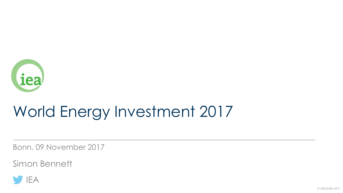

# World Energy Investment 2017

Bonn, 09 November 2017

Simon Bennett

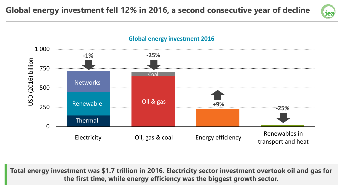



**Global energy investment 2016**

**Total energy investment was \$1.7 trillion in 2016. Electricity sector investment overtook oil and gas for the first time, while energy efficiency was the biggest growth sector.**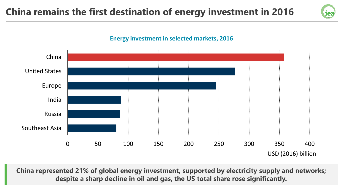# **China remains the first destination of energy investment in 2016**





**China represented 21% of global energy investment, supported by electricity supply and networks; despite a sharp decline in oil and gas, the US total share rose significantly.**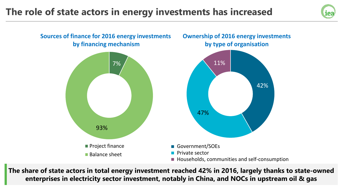### **The role of state actors in energy investments has increased**





**The share of state actors in total energy investment reached 42% in 2016, largely thanks to state-owned enterprises in electricity sector investment, notably in China, and NOCs in upstream oil & gas**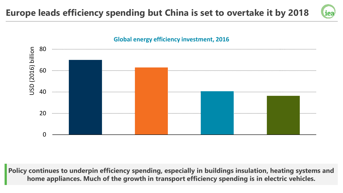### **Europe leads efficiency spending but China is set to overtake it by 2018**





**Policy continues to underpin efficiency spending, especially in buildings insulation, heating systems and home appliances. Much of the growth in transport efficiency spending is in electric vehicles.**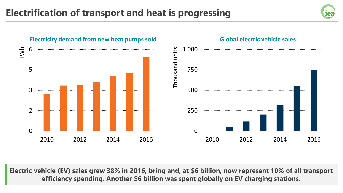



**Electric vehicle (EV) sales grew 38% in 2016, bring and, at \$6 billion, now represent 10% of all transport efficiency spending. Another \$6 billion was spent globally on EV charging stations.**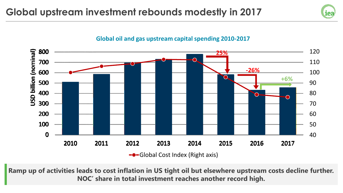



#### **Global oil and gas upstream capital spending 2010-2017 37%**

**Ramp up of activities leads to cost inflation in US tight oil but elsewhere upstream costs decline further. NOC' share in total investment reaches another record high.**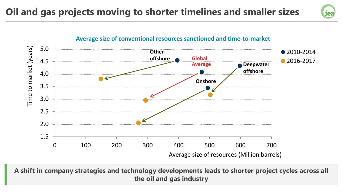# **Oil and gas projects moving to shorter timelines and smaller sizes**





**A shift in company strategies and technology developments leads to shorter project cycles across all the oil and gas industry**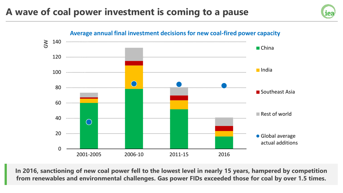## **A wave of coal power investment is coming to a pause**





**In 2016, sanctioning of new coal power fell to the lowest level in nearly 15 years, hampered by competition from renewables and environmental challenges. Gas power FIDs exceeded those for coal by over 1.5 times.**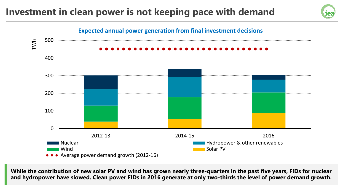# **Investment in clean power is not keeping pace with demand**



**While the contribution of new solar PV and wind has grown nearly three-quarters in the past five years, FIDs for nuclear and hydropower have slowed. Clean power FIDs in 2016 generate at only two-thirds the level of power demand growth.**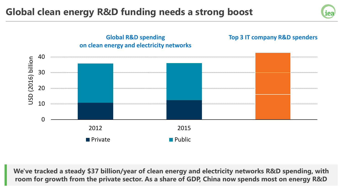## **Global clean energy R&D funding needs a strong boost**





**We've tracked a steady \$37 billion/year of clean energy and electricity networks R&D spending, with room for growth from the private sector. As a share of GDP, China now spends most on energy R&D**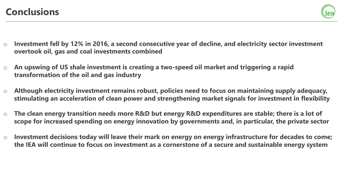

- o **Investment fell by 12% in 2016, a second consecutive year of decline, and electricity sector investment overtook oil, gas and coal investments combined**
- o **An upswing of US shale investment is creating a two-speed oil market and triggering a rapid transformation of the oil and gas industry**
- o **Although electricity investment remains robust, policies need to focus on maintaining supply adequacy, stimulating an acceleration of clean power and strengthening market signals for investment in flexibility**
- o **The clean energy transition needs more R&D but energy R&D expenditures are stable; there is a lot of scope for increased spending on energy innovation by governments and, in particular, the private sector**
- o **Investment decisions today will leave their mark on energy on energy infrastructure for decades to come; the IEA will continue to focus on investment as a cornerstone of a secure and sustainable energy system**